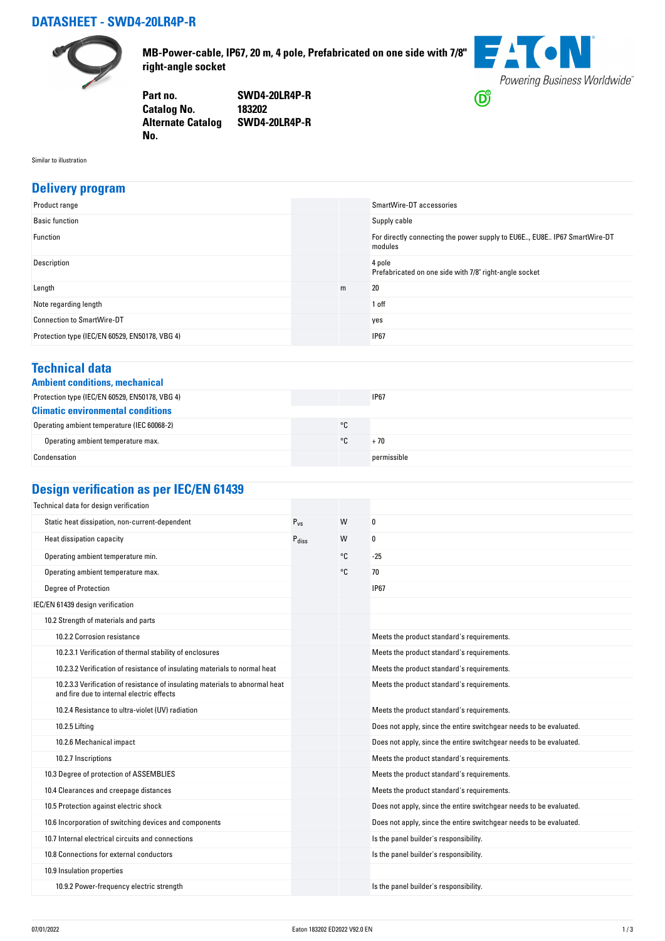### **DATASHEET - SWD4-20LR4P-R**



**MB-Power-cable, IP67, 20 m, 4 pole, Prefabricated on one side with 7/8" right-angle socket**



**Part no. SWD4-20LR4P-R Catalog No. Alternate Catalog SWD4-20LR4P-R No.** 

Similar to illustration

#### **Delivery program**

| Product range                                  |   | SmartWire-DT accessories                                                            |
|------------------------------------------------|---|-------------------------------------------------------------------------------------|
| <b>Basic function</b>                          |   | Supply cable                                                                        |
| Function                                       |   | For directly connecting the power supply to EU6E, EU8E IP67 SmartWire-DT<br>modules |
| Description                                    |   | 4 pole<br>Prefabricated on one side with 7/8" right-angle socket                    |
| Length                                         | m | 20                                                                                  |
| Note regarding length                          |   | 1 off                                                                               |
| <b>Connection to SmartWire-DT</b>              |   | yes                                                                                 |
| Protection type (IEC/EN 60529, EN50178, VBG 4) |   | <b>IP67</b>                                                                         |

#### **Technical data**

|  | <b>Ambient conditions, mechanica</b> |
|--|--------------------------------------|
|  |                                      |

| Ambient conditions, mechanical                 |    |             |  |  |
|------------------------------------------------|----|-------------|--|--|
| Protection type (IEC/EN 60529, EN50178, VBG 4) |    | <b>IP67</b> |  |  |
| <b>Climatic environmental conditions</b>       |    |             |  |  |
| Operating ambient temperature (IEC 60068-2)    | °C |             |  |  |
| Operating ambient temperature max.             | ۰c | + 70        |  |  |
| Condensation                                   |    | permissible |  |  |

# **Design verification as per IEC/EN 61439**

| Technical data for design verification                                                                                    |                   |    |                                                                    |
|---------------------------------------------------------------------------------------------------------------------------|-------------------|----|--------------------------------------------------------------------|
| Static heat dissipation, non-current-dependent                                                                            | $P_{VS}$          | W  | 0                                                                  |
| Heat dissipation capacity                                                                                                 | $P_{\text{diss}}$ | W  | 0                                                                  |
| Operating ambient temperature min.                                                                                        |                   | °C | $-25$                                                              |
| Operating ambient temperature max.                                                                                        |                   | °C | 70                                                                 |
| <b>Degree of Protection</b>                                                                                               |                   |    | <b>IP67</b>                                                        |
| IEC/EN 61439 design verification                                                                                          |                   |    |                                                                    |
| 10.2 Strength of materials and parts                                                                                      |                   |    |                                                                    |
| 10.2.2 Corrosion resistance                                                                                               |                   |    | Meets the product standard's requirements.                         |
| 10.2.3.1 Verification of thermal stability of enclosures                                                                  |                   |    | Meets the product standard's requirements.                         |
| 10.2.3.2 Verification of resistance of insulating materials to normal heat                                                |                   |    | Meets the product standard's requirements.                         |
| 10.2.3.3 Verification of resistance of insulating materials to abnormal heat<br>and fire due to internal electric effects |                   |    | Meets the product standard's requirements.                         |
| 10.2.4 Resistance to ultra-violet (UV) radiation                                                                          |                   |    | Meets the product standard's requirements.                         |
| 10.2.5 Lifting                                                                                                            |                   |    | Does not apply, since the entire switchgear needs to be evaluated. |
| 10.2.6 Mechanical impact                                                                                                  |                   |    | Does not apply, since the entire switchgear needs to be evaluated. |
| 10.2.7 Inscriptions                                                                                                       |                   |    | Meets the product standard's requirements.                         |
| 10.3 Degree of protection of ASSEMBLIES                                                                                   |                   |    | Meets the product standard's requirements.                         |
| 10.4 Clearances and creepage distances                                                                                    |                   |    | Meets the product standard's requirements.                         |
| 10.5 Protection against electric shock                                                                                    |                   |    | Does not apply, since the entire switchgear needs to be evaluated. |
| 10.6 Incorporation of switching devices and components                                                                    |                   |    | Does not apply, since the entire switchgear needs to be evaluated. |
| 10.7 Internal electrical circuits and connections                                                                         |                   |    | Is the panel builder's responsibility.                             |
| 10.8 Connections for external conductors                                                                                  |                   |    | Is the panel builder's responsibility.                             |
| 10.9 Insulation properties                                                                                                |                   |    |                                                                    |
| 10.9.2 Power-frequency electric strength                                                                                  |                   |    | Is the panel builder's responsibility.                             |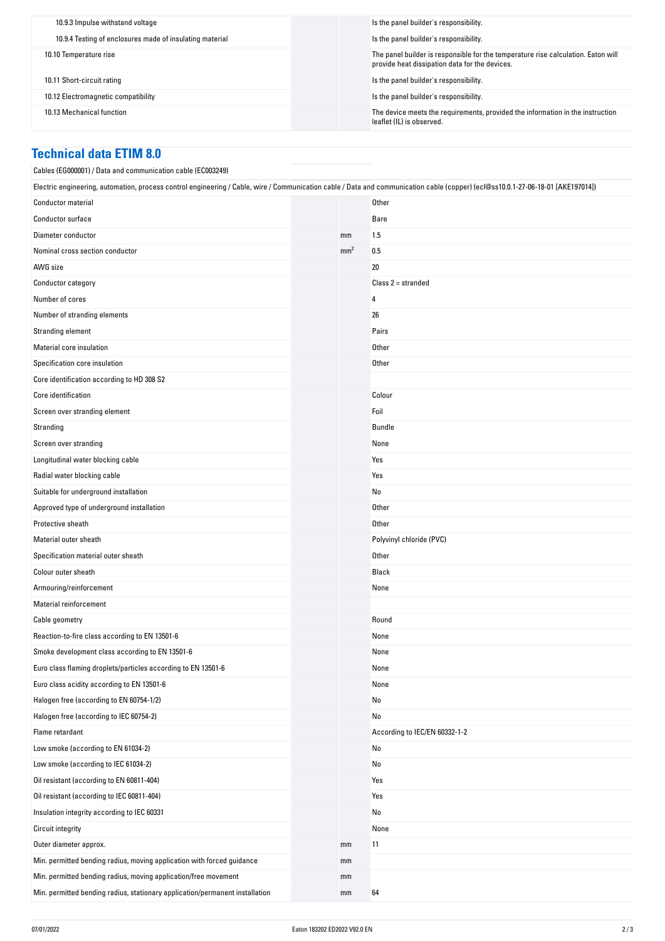| 10.9.3 Impulse withstand voltage                         | Is the panel builder's responsibility.                                                                                              |
|----------------------------------------------------------|-------------------------------------------------------------------------------------------------------------------------------------|
| 10.9.4 Testing of enclosures made of insulating material | Is the panel builder's responsibility.                                                                                              |
| 10.10 Temperature rise                                   | The panel builder is responsible for the temperature rise calculation. Eaton will<br>provide heat dissipation data for the devices. |
| 10.11 Short-circuit rating                               | Is the panel builder's responsibility.                                                                                              |
| 10.12 Electromagnetic compatibility                      | Is the panel builder's responsibility.                                                                                              |
| 10.13 Mechanical function                                | The device meets the requirements, provided the information in the instruction<br>leaflet (IL) is observed.                         |

#### **Technical data ETIM 8.0**

| Cables (EG000001) / Data and communication cable (EC003249)                                                                                                                      |                 |                               |  |  |
|----------------------------------------------------------------------------------------------------------------------------------------------------------------------------------|-----------------|-------------------------------|--|--|
| Electric engineering, automation, process control engineering / Cable, wire / Communication cable / Data and communication cable (copper) (ecl@ss10.0.1-27-06-18-01 [AKE197014]) |                 |                               |  |  |
| <b>Conductor material</b>                                                                                                                                                        |                 | Other                         |  |  |
| Conductor surface                                                                                                                                                                |                 | Bare                          |  |  |
| Diameter conductor                                                                                                                                                               | mm              | 1.5                           |  |  |
| Nominal cross section conductor                                                                                                                                                  | mm <sup>2</sup> | 0.5                           |  |  |
| AWG size                                                                                                                                                                         |                 | 20                            |  |  |
| Conductor category                                                                                                                                                               |                 | $Class 2 = stranded$          |  |  |
| Number of cores                                                                                                                                                                  |                 | 4                             |  |  |
| Number of stranding elements                                                                                                                                                     |                 | 26                            |  |  |
| Stranding element                                                                                                                                                                |                 | Pairs                         |  |  |
| Material core insulation                                                                                                                                                         |                 | Other                         |  |  |
| Specification core insulation                                                                                                                                                    |                 | Other                         |  |  |
| Core identification according to HD 308 S2                                                                                                                                       |                 |                               |  |  |
| Core identification                                                                                                                                                              |                 | Colour                        |  |  |
| Screen over stranding element                                                                                                                                                    |                 | Foil                          |  |  |
| Stranding                                                                                                                                                                        |                 | Bundle                        |  |  |
| Screen over stranding                                                                                                                                                            |                 | None                          |  |  |
| Longitudinal water blocking cable                                                                                                                                                |                 | Yes                           |  |  |
| Radial water blocking cable                                                                                                                                                      |                 | Yes                           |  |  |
| Suitable for underground installation                                                                                                                                            |                 | No                            |  |  |
| Approved type of underground installation                                                                                                                                        |                 | Other                         |  |  |
| Protective sheath                                                                                                                                                                |                 | Other                         |  |  |
| Material outer sheath                                                                                                                                                            |                 | Polyvinyl chloride (PVC)      |  |  |
| Specification material outer sheath                                                                                                                                              |                 | Other                         |  |  |
| Colour outer sheath                                                                                                                                                              |                 | Black                         |  |  |
| Armouring/reinforcement                                                                                                                                                          |                 | None                          |  |  |
| <b>Material reinforcement</b>                                                                                                                                                    |                 |                               |  |  |
| Cable geometry                                                                                                                                                                   |                 | Round                         |  |  |
| Reaction-to-fire class according to EN 13501-6                                                                                                                                   |                 | None                          |  |  |
| Smoke development class according to EN 13501-6                                                                                                                                  |                 | None                          |  |  |
| Euro class flaming droplets/particles according to EN 13501-6                                                                                                                    |                 | None                          |  |  |
| Euro class acidity according to EN 13501-6                                                                                                                                       |                 | None                          |  |  |
| Halogen free (according to EN 60754-1/2)                                                                                                                                         |                 | No                            |  |  |
| Halogen free (according to IEC 60754-2)                                                                                                                                          |                 | No                            |  |  |
| Flame retardant                                                                                                                                                                  |                 | According to IEC/EN 60332-1-2 |  |  |
| Low smoke (according to EN 61034-2)                                                                                                                                              |                 | No                            |  |  |
| Low smoke (according to IEC 61034-2)                                                                                                                                             |                 | No                            |  |  |
| Oil resistant (according to EN 60811-404)                                                                                                                                        |                 | Yes                           |  |  |
| Oil resistant (according to IEC 60811-404)                                                                                                                                       |                 | Yes                           |  |  |
| Insulation integrity according to IEC 60331                                                                                                                                      |                 | No                            |  |  |
| <b>Circuit integrity</b>                                                                                                                                                         |                 | None                          |  |  |
| Outer diameter approx.                                                                                                                                                           | mm              | 11                            |  |  |
| Min. permitted bending radius, moving application with forced guidance                                                                                                           | mm              |                               |  |  |
| Min. permitted bending radius, moving application/free movement                                                                                                                  | mm              |                               |  |  |
| Min. permitted bending radius, stationary application/permanent installation                                                                                                     | mm              | 64                            |  |  |